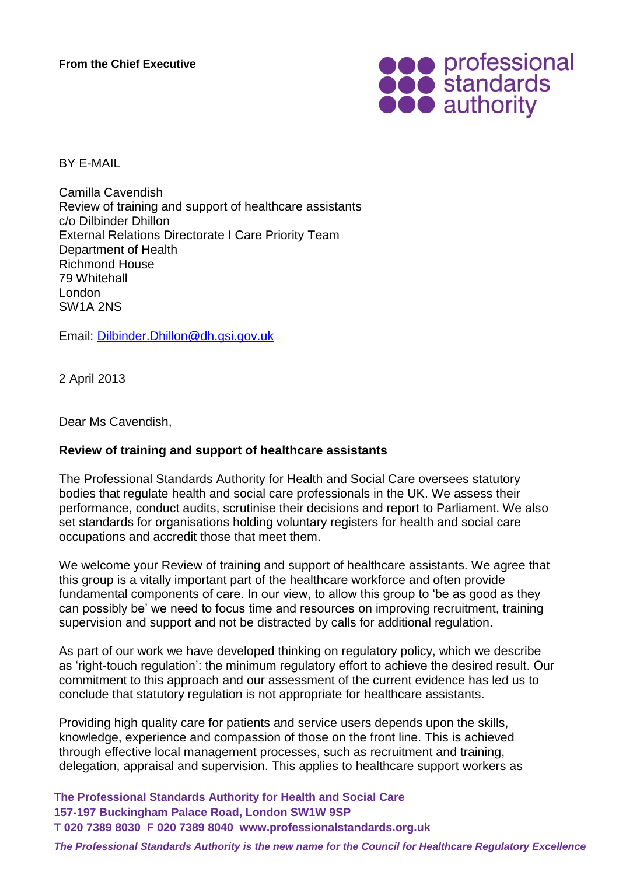

BY E-MAIL

Camilla Cavendish Review of training and support of healthcare assistants c/o Dilbinder Dhillon External Relations Directorate I Care Priority Team Department of Health Richmond House 79 Whitehall London SW1A 2NS

Email: [Dilbinder.Dhillon@dh.gsi.gov.uk](mailto:Dilbinder.Dhillon@dh.gsi.gov.uk)

2 April 2013

Dear Ms Cavendish,

## **Review of training and support of healthcare assistants**

The Professional Standards Authority for Health and Social Care oversees statutory bodies that regulate health and social care professionals in the UK. We assess their performance, conduct audits, scrutinise their decisions and report to Parliament. We also set standards for organisations holding voluntary registers for health and social care occupations and accredit those that meet them.

We welcome your Review of training and support of healthcare assistants. We agree that this group is a vitally important part of the healthcare workforce and often provide fundamental components of care. In our view, to allow this group to 'be as good as they can possibly be' we need to focus time and resources on improving recruitment, training supervision and support and not be distracted by calls for additional regulation.

As part of our work we have developed thinking on regulatory policy, which we describe as 'right-touch regulation': the minimum regulatory effort to achieve the desired result. Our commitment to this approach and our assessment of the current evidence has led us to conclude that statutory regulation is not appropriate for healthcare assistants.

Providing high quality care for patients and service users depends upon the skills, knowledge, experience and compassion of those on the front line. This is achieved through effective local management processes, such as recruitment and training, delegation, appraisal and supervision. This applies to healthcare support workers as

**The Professional Standards Authority for Health and Social Care 157-197 Buckingham Palace Road, London SW1W 9SP T 020 7389 8030 F 020 7389 8040 www.professionalstandards.org.uk**

*The Professional Standards Authority is the new name for the Council for Healthcare Regulatory Excellence*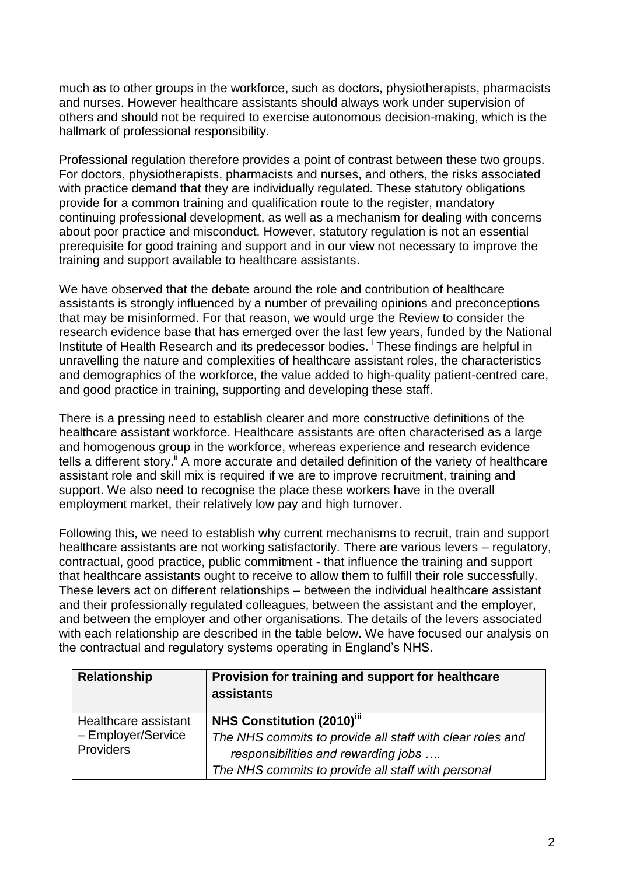much as to other groups in the workforce, such as doctors, physiotherapists, pharmacists and nurses. However healthcare assistants should always work under supervision of others and should not be required to exercise autonomous decision-making, which is the hallmark of professional responsibility.

Professional regulation therefore provides a point of contrast between these two groups. For doctors, physiotherapists, pharmacists and nurses, and others, the risks associated with practice demand that they are individually regulated. These statutory obligations provide for a common training and qualification route to the register, mandatory continuing professional development, as well as a mechanism for dealing with concerns about poor practice and misconduct. However, statutory regulation is not an essential prerequisite for good training and support and in our view not necessary to improve the training and support available to healthcare assistants.

We have observed that the debate around the role and contribution of healthcare assistants is strongly influenced by a number of prevailing opinions and preconceptions that may be misinformed. For that reason, we would urge the Review to consider the research evidence base that has emerged over the last few years, funded by the National Institute of Health Research and its predecessor bodies. <sup>i</sup> These findings are helpful in unravelling the nature and complexities of healthcare assistant roles, the characteristics and demographics of the workforce, the value added to high-quality patient-centred care, and good practice in training, supporting and developing these staff.

There is a pressing need to establish clearer and more constructive definitions of the healthcare assistant workforce. Healthcare assistants are often characterised as a large and homogenous group in the workforce, whereas experience and research evidence tells a different story.<sup>ii</sup> A more accurate and detailed definition of the variety of healthcare assistant role and skill mix is required if we are to improve recruitment, training and support. We also need to recognise the place these workers have in the overall employment market, their relatively low pay and high turnover.

Following this, we need to establish why current mechanisms to recruit, train and support healthcare assistants are not working satisfactorily. There are various levers – regulatory, contractual, good practice, public commitment - that influence the training and support that healthcare assistants ought to receive to allow them to fulfill their role successfully. These levers act on different relationships – between the individual healthcare assistant and their professionally regulated colleagues, between the assistant and the employer, and between the employer and other organisations. The details of the levers associated with each relationship are described in the table below. We have focused our analysis on the contractual and regulatory systems operating in England's NHS.

| <b>Relationship</b>                                     | Provision for training and support for healthcare<br>assistants                                                                                                                           |
|---------------------------------------------------------|-------------------------------------------------------------------------------------------------------------------------------------------------------------------------------------------|
| Healthcare assistant<br>- Employer/Service<br>Providers | <b>NHS Constitution (2010)"</b><br>The NHS commits to provide all staff with clear roles and<br>responsibilities and rewarding jobs<br>The NHS commits to provide all staff with personal |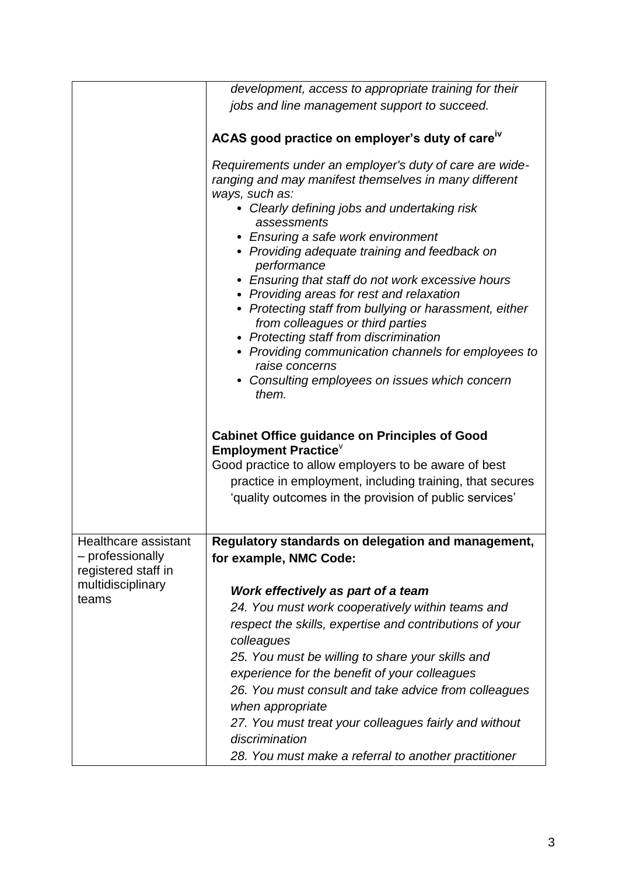|                                                                 | development, access to appropriate training for their                                                                                                                                                                                                                                                                                                                                                                                                                                                                                                                                                                                                                               |
|-----------------------------------------------------------------|-------------------------------------------------------------------------------------------------------------------------------------------------------------------------------------------------------------------------------------------------------------------------------------------------------------------------------------------------------------------------------------------------------------------------------------------------------------------------------------------------------------------------------------------------------------------------------------------------------------------------------------------------------------------------------------|
|                                                                 | jobs and line management support to succeed.                                                                                                                                                                                                                                                                                                                                                                                                                                                                                                                                                                                                                                        |
|                                                                 |                                                                                                                                                                                                                                                                                                                                                                                                                                                                                                                                                                                                                                                                                     |
|                                                                 | ACAS good practice on employer's duty of care <sup>iv</sup>                                                                                                                                                                                                                                                                                                                                                                                                                                                                                                                                                                                                                         |
|                                                                 | Requirements under an employer's duty of care are wide-<br>ranging and may manifest themselves in many different<br>ways, such as:<br>Clearly defining jobs and undertaking risk<br>assessments<br>• Ensuring a safe work environment<br>• Providing adequate training and feedback on<br>performance<br>• Ensuring that staff do not work excessive hours<br>• Providing areas for rest and relaxation<br>• Protecting staff from bullying or harassment, either<br>from colleagues or third parties<br>• Protecting staff from discrimination<br>• Providing communication channels for employees to<br>raise concerns<br>• Consulting employees on issues which concern<br>them. |
|                                                                 | <b>Cabinet Office guidance on Principles of Good</b><br><b>Employment Practice</b>                                                                                                                                                                                                                                                                                                                                                                                                                                                                                                                                                                                                  |
|                                                                 | Good practice to allow employers to be aware of best                                                                                                                                                                                                                                                                                                                                                                                                                                                                                                                                                                                                                                |
|                                                                 | practice in employment, including training, that secures                                                                                                                                                                                                                                                                                                                                                                                                                                                                                                                                                                                                                            |
|                                                                 | 'quality outcomes in the provision of public services'                                                                                                                                                                                                                                                                                                                                                                                                                                                                                                                                                                                                                              |
| Healthcare assistant<br>- professionally<br>registered staff in | Regulatory standards on delegation and management,                                                                                                                                                                                                                                                                                                                                                                                                                                                                                                                                                                                                                                  |
|                                                                 | for example, NMC Code:                                                                                                                                                                                                                                                                                                                                                                                                                                                                                                                                                                                                                                                              |
| multidisciplinary                                               | Work effectively as part of a team                                                                                                                                                                                                                                                                                                                                                                                                                                                                                                                                                                                                                                                  |
| teams                                                           | 24. You must work cooperatively within teams and                                                                                                                                                                                                                                                                                                                                                                                                                                                                                                                                                                                                                                    |
|                                                                 | respect the skills, expertise and contributions of your                                                                                                                                                                                                                                                                                                                                                                                                                                                                                                                                                                                                                             |
|                                                                 | colleagues                                                                                                                                                                                                                                                                                                                                                                                                                                                                                                                                                                                                                                                                          |
|                                                                 | 25. You must be willing to share your skills and                                                                                                                                                                                                                                                                                                                                                                                                                                                                                                                                                                                                                                    |
|                                                                 | experience for the benefit of your colleagues                                                                                                                                                                                                                                                                                                                                                                                                                                                                                                                                                                                                                                       |
|                                                                 | 26. You must consult and take advice from colleagues                                                                                                                                                                                                                                                                                                                                                                                                                                                                                                                                                                                                                                |
|                                                                 | when appropriate                                                                                                                                                                                                                                                                                                                                                                                                                                                                                                                                                                                                                                                                    |
|                                                                 | 27. You must treat your colleagues fairly and without                                                                                                                                                                                                                                                                                                                                                                                                                                                                                                                                                                                                                               |
|                                                                 | discrimination                                                                                                                                                                                                                                                                                                                                                                                                                                                                                                                                                                                                                                                                      |
|                                                                 | 28. You must make a referral to another practitioner                                                                                                                                                                                                                                                                                                                                                                                                                                                                                                                                                                                                                                |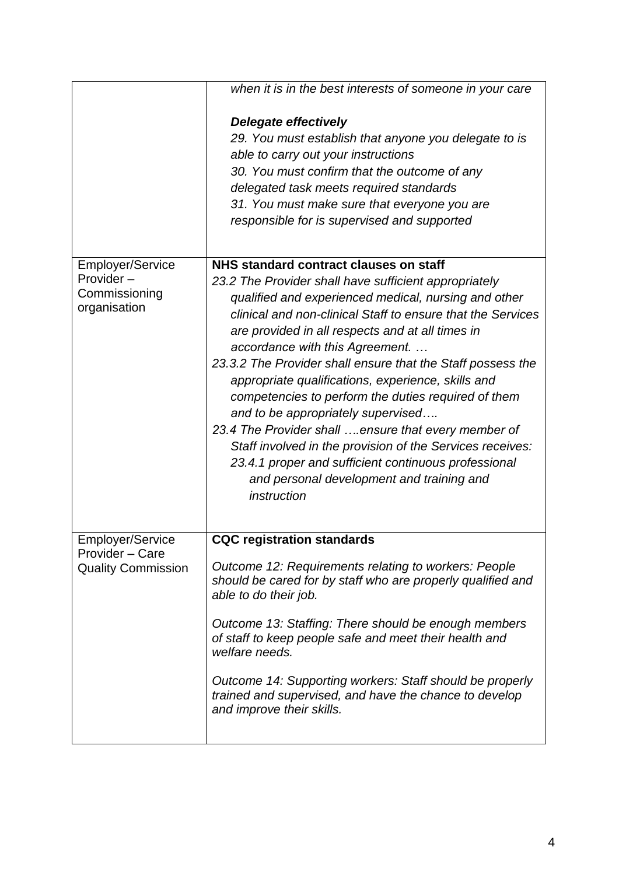|                                              | when it is in the best interests of someone in your care    |
|----------------------------------------------|-------------------------------------------------------------|
|                                              | Delegate effectively                                        |
|                                              | 29. You must establish that anyone you delegate to is       |
|                                              | able to carry out your instructions                         |
|                                              | 30. You must confirm that the outcome of any                |
|                                              | delegated task meets required standards                     |
|                                              | 31. You must make sure that everyone you are                |
|                                              |                                                             |
|                                              | responsible for is supervised and supported                 |
| <b>Employer/Service</b>                      | NHS standard contract clauses on staff                      |
| Provider-                                    | 23.2 The Provider shall have sufficient appropriately       |
| Commissioning                                | qualified and experienced medical, nursing and other        |
| organisation                                 | clinical and non-clinical Staff to ensure that the Services |
|                                              | are provided in all respects and at all times in            |
|                                              | accordance with this Agreement.                             |
|                                              | 23.3.2 The Provider shall ensure that the Staff possess the |
|                                              | appropriate qualifications, experience, skills and          |
|                                              | competencies to perform the duties required of them         |
|                                              | and to be appropriately supervised                          |
|                                              | 23.4 The Provider shall ensure that every member of         |
|                                              | Staff involved in the provision of the Services receives:   |
|                                              | 23.4.1 proper and sufficient continuous professional        |
|                                              | and personal development and training and                   |
|                                              | instruction                                                 |
|                                              |                                                             |
| <b>Employer/Service</b>                      | <b>CQC registration standards</b>                           |
| Provider - Care<br><b>Quality Commission</b> | Outcome 12: Requirements relating to workers: People        |
|                                              | should be cared for by staff who are properly qualified and |
|                                              | able to do their job.                                       |
|                                              | Outcome 13: Staffing: There should be enough members        |
|                                              | of staff to keep people safe and meet their health and      |
|                                              | welfare needs.                                              |
|                                              | Outcome 14: Supporting workers: Staff should be properly    |
|                                              | trained and supervised, and have the chance to develop      |
|                                              | and improve their skills.                                   |
|                                              |                                                             |
|                                              |                                                             |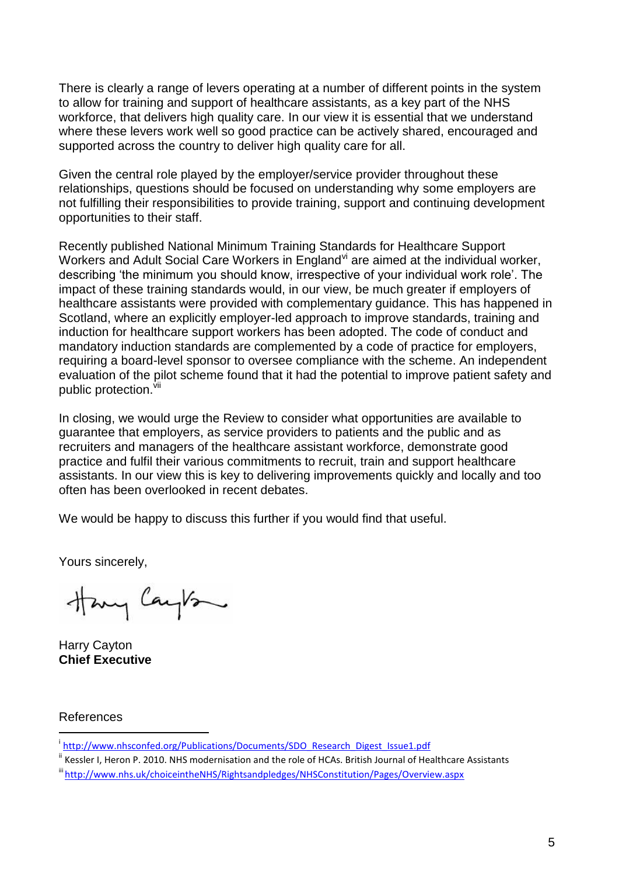There is clearly a range of levers operating at a number of different points in the system to allow for training and support of healthcare assistants, as a key part of the NHS workforce, that delivers high quality care. In our view it is essential that we understand where these levers work well so good practice can be actively shared, encouraged and supported across the country to deliver high quality care for all.

Given the central role played by the employer/service provider throughout these relationships, questions should be focused on understanding why some employers are not fulfilling their responsibilities to provide training, support and continuing development opportunities to their staff.

Recently published National Minimum Training Standards for Healthcare Support Workers and Adult Social Care Workers in England<sup>vi</sup> are aimed at the individual worker, describing 'the minimum you should know, irrespective of your individual work role'. The impact of these training standards would, in our view, be much greater if employers of healthcare assistants were provided with complementary guidance. This has happened in Scotland, where an explicitly employer-led approach to improve standards, training and induction for healthcare support workers has been adopted. The code of conduct and mandatory induction standards are complemented by a code of practice for employers, requiring a board-level sponsor to oversee compliance with the scheme. An independent evaluation of the pilot scheme found that it had the potential to improve patient safety and public protection.<sup>Vii</sup>

In closing, we would urge the Review to consider what opportunities are available to guarantee that employers, as service providers to patients and the public and as recruiters and managers of the healthcare assistant workforce, demonstrate good practice and fulfil their various commitments to recruit, train and support healthcare assistants. In our view this is key to delivering improvements quickly and locally and too often has been overlooked in recent debates.

We would be happy to discuss this further if you would find that useful.

Yours sincerely,

Hary Cayton

Harry Cayton **Chief Executive**

## References

1

<sup>&</sup>lt;sup>i</sup>[http://www.nhsconfed.org/Publications/Documents/SDO\\_Research\\_Digest\\_Issue1.pdf](http://www.nhsconfed.org/Publications/Documents/SDO_Research_Digest_Issue1.pdf)

<sup>&</sup>lt;sup>ii</sup> Kessler I, Heron P. 2010. NHS modernisation and the role of HCAs. British Journal of Healthcare Assistants

iii <http://www.nhs.uk/choiceintheNHS/Rightsandpledges/NHSConstitution/Pages/Overview.aspx>